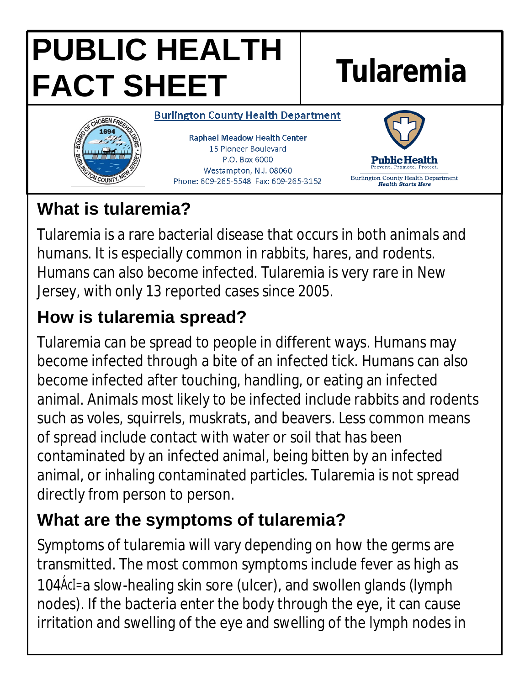# **PUBLIC HEALTH FACT SHEET Tularemia**



**Burlington County Health Department** 

**Raphael Meadow Health Center** 15 Pioneer Boulevard P.O. Box 6000 Westampton, N.J. 08060 Phone: 609-265-5548 Fax: 609-265-3152



#### **What is tularemia?**

Tularemia is a rare bacterial disease that occurs in both animals and humans. It is especially common in rabbits, hares, and rodents. Humans can also become infected. Tularemia is very rare in New Jersey, with only 13 reported cases since 2005.

## **How is tularemia spread?**

Tularemia can be spread to people in different ways. Humans may become infected through a bite of an infected tick. Humans can also become infected after touching, handling, or eating an infected animal. Animals most likely to be infected include rabbits and rodents such as voles, squirrels, muskrats, and beavers. Less common means of spread include contact with water or soil that has been contaminated by an infected animal, being bitten by an infected animal, or inhaling contaminated particles. Tularemia is not spread directly from person to person.

#### **What are the symptoms of tularemia?**

Symptoms of tularemia will vary depending on how the germs are transmitted. The most common symptoms include fever as high as 104Å cl=a slow-healing skin sore (ulcer), and swollen glands (lymph nodes). If the bacteria enter the body through the eye, it can cause irritation and swelling of the eye and swelling of the lymph nodes in